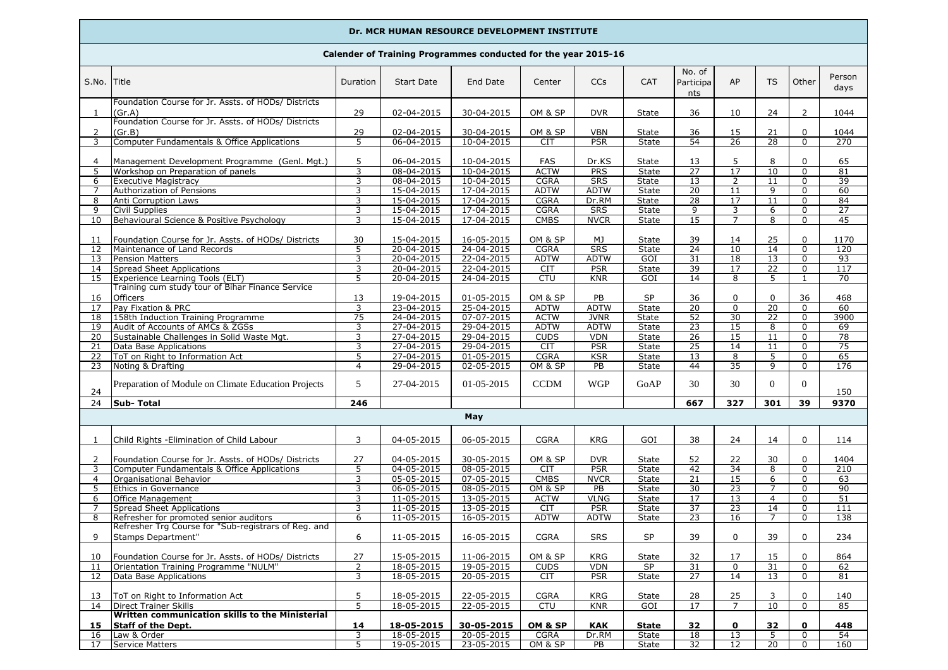## **Dr. MCR HUMAN RESOURCE DEVELOPMENT INSTITUTE**

## **Calender of Training Programmes conducted for the year 2015-16**

| S.No. Title |                                                      | Duration       | <b>Start Date</b> | End Date         | Center      | <b>CCs</b>  | <b>CAT</b>   | No. of<br>Participa | AP              | <b>TS</b>       | Other        | Person          |
|-------------|------------------------------------------------------|----------------|-------------------|------------------|-------------|-------------|--------------|---------------------|-----------------|-----------------|--------------|-----------------|
|             |                                                      |                |                   |                  |             |             |              | nts                 |                 |                 |              | days            |
|             | Foundation Course for Jr. Assts. of HODs/ Districts  |                |                   |                  |             |             |              |                     |                 |                 |              |                 |
| 1           | (Gr.A)                                               | 29             | 02-04-2015        | 30-04-2015       | OM & SP     | <b>DVR</b>  | <b>State</b> | 36                  | 10              | 24              | 2            | 1044            |
|             | Foundation Course for Jr. Assts. of HODs/ Districts  |                |                   |                  |             |             |              |                     |                 |                 |              |                 |
| 2           | (Gr.B)                                               | 29             | 02-04-2015        | 30-04-2015       | OM & SP     | <b>VBN</b>  | <b>State</b> | 36                  | 15              | 21              | 0            | 1044            |
| 3           | Computer Fundamentals & Office Applications          | 5              | 06-04-2015        | 10-04-2015       | <b>CIT</b>  | <b>PSR</b>  | State        | 54                  | 26              | $\overline{28}$ | 0            | 270             |
|             |                                                      |                |                   |                  |             |             |              |                     |                 |                 |              |                 |
| 4           | Management Development Programme (Genl. Mgt.)        | 5              | 06-04-2015        | 10-04-2015       | <b>FAS</b>  | Dr.KS       | <b>State</b> | 13                  | 5               | 8               | $\Omega$     | 65              |
| 5           | Workshop on Preparation of panels                    | 3              | 08-04-2015        | 10-04-2015       | <b>ACTW</b> | <b>PRS</b>  | State        | 27                  | 17              | 10              | $\Omega$     | 81              |
| 6           | <b>Executive Magistracy</b>                          | 3              | 08-04-2015        | 10-04-2015       | <b>CGRA</b> | <b>SRS</b>  | State        | 13                  | $\overline{2}$  | $\overline{11}$ | 0            | 39              |
| 7           | Authorization of Pensions                            | 3              | 15-04-2015        | 17-04-2015       | <b>ADTW</b> | <b>ADTW</b> | State        | 20                  | 11              | 9               | $\Omega$     | 60              |
| 8           | <b>Anti Corruption Laws</b>                          | 3              | 15-04-2015        | 17-04-2015       | <b>CGRA</b> | Dr.RM       | <b>State</b> | $\overline{28}$     | 17              | $\overline{11}$ | $\Omega$     | 84              |
| 9           | Civil Supplies                                       | 3              | 15-04-2015        | 17-04-2015       | <b>CGRA</b> | <b>SRS</b>  | State        | 9                   | 3               | 6               | 0            | $\overline{27}$ |
| 10          | Behavioural Science & Positive Psychology            | 3              | 15-04-2015        | 17-04-2015       | <b>CMBS</b> | <b>NVCR</b> | State        | $\overline{15}$     | 7               | 8               | 0            | 45              |
|             |                                                      |                |                   |                  |             |             |              |                     |                 |                 |              |                 |
| 11          | Foundation Course for Jr. Assts. of HODs/ Districts  | 30             | 15-04-2015        | 16-05-2015       | OM & SP     | MJ          | State        | 39                  | 14              | 25              | $\Omega$     | 1170            |
| 12          | Maintenance of Land Records                          | 5              | 20-04-2015        | 24-04-2015       | <b>CGRA</b> | <b>SRS</b>  | <b>State</b> | $\overline{24}$     | 10              | 14              | $\Omega$     | 120             |
| 13          | <b>Pension Matters</b>                               | 3              | 20-04-2015        | 22-04-2015       | <b>ADTW</b> | <b>ADTW</b> | GOI          | $\overline{31}$     | 18              | $\overline{13}$ | $\Omega$     | $\overline{93}$ |
| 14          | <b>Spread Sheet Applications</b>                     | 3              | 20-04-2015        | 22-04-2015       | <b>CIT</b>  | <b>PSR</b>  | <b>State</b> | 39                  | 17              | $\overline{22}$ | 0            | 117             |
| 15          | Experience Learning Tools (ELT)                      | 5              | 20-04-2015        | 24-04-2015       | CTU         | <b>KNR</b>  | GOI          | $\overline{14}$     | 8               | $\overline{5}$  | $\mathbf{1}$ | 70              |
|             | Training cum study tour of Bihar Finance Service     |                |                   |                  |             |             |              |                     |                 |                 |              |                 |
| 16          | <b>Officers</b>                                      | 13             | 19-04-2015        | 01-05-2015       | OM & SP     | PB          | <b>SP</b>    | 36                  | 0               | 0               | 36           | 468             |
| 17          | Pay Fixation & PRC                                   | 3              | 23-04-2015        | 25-04-2015       | <b>ADTW</b> | <b>ADTW</b> | State        | 20                  | $\pmb{0}$       | 20              | 0            | 60              |
| 18          | 158th Induction Training Programme                   | 75             | 24-04-2015        | 07-07-2015       | <b>ACTW</b> | <b>JVNR</b> | <b>State</b> | 52                  | $\overline{30}$ | $\overline{22}$ | 0            | 3900            |
| 19          | Audit of Accounts of AMCs & ZGSs                     | 3              | 27-04-2015        | $29 - 04 - 2015$ | <b>ADTW</b> | <b>ADTW</b> | State        | $\overline{23}$     | 15              | 8               | $\Omega$     | 69              |
| 20          | Sustainable Challenges in Solid Waste Mgt.           | 3              | 27-04-2015        | 29-04-2015       | <b>CUDS</b> | <b>VDN</b>  | State        | $\overline{26}$     | 15              | 11              | $\Omega$     | $\overline{78}$ |
| 21          | Data Base Applications                               | 3              | 27-04-2015        | 29-04-2015       | <b>CIT</b>  | <b>PSR</b>  | State        | 25                  | $\overline{14}$ | 11              | 0            | 75              |
| 22          | ToT on Right to Information Act                      | 5              | 27-04-2015        | 01-05-2015       | <b>CGRA</b> | KSR         | <b>State</b> | 13                  | 8               | 5               | 0            | 65              |
| 23          | Noting & Drafting                                    | $\overline{4}$ | 29-04-2015        | 02-05-2015       | OM & SP     | PB          | State        | 44                  | 35              | 9               | 0            | 176             |
|             |                                                      |                |                   |                  |             |             |              |                     |                 |                 |              |                 |
|             | Preparation of Module on Climate Education Projects  | 5              | 27-04-2015        | 01-05-2015       | <b>CCDM</b> | <b>WGP</b>  | GoAP         | 30                  | 30              | $\Omega$        | $\Omega$     |                 |
| 24          |                                                      |                |                   |                  |             |             |              |                     |                 |                 |              | 150             |
| 24          | <b>Sub-Total</b>                                     | 246            |                   |                  |             |             |              | 667                 | 327             | 301             | 39           | 9370            |
|             |                                                      |                |                   | May              |             |             |              |                     |                 |                 |              |                 |
|             |                                                      |                |                   |                  |             |             |              |                     |                 |                 |              |                 |
| -1          | Child Rights - Elimination of Child Labour           | 3              | 04-05-2015        | 06-05-2015       | <b>CGRA</b> | <b>KRG</b>  | GOI          | 38                  | 24              | 14              | $\Omega$     | 114             |
|             |                                                      |                |                   |                  |             |             |              |                     |                 |                 |              |                 |
| 2           | Foundation Course for Jr. Assts. of HODs/ Districts  | 27             | 04-05-2015        | 30-05-2015       | OM & SP     | <b>DVR</b>  | State        | 52                  | 22              | 30              | 0            | 1404            |
| 3           | Computer Fundamentals & Office Applications          | 5              | 04-05-2015        | 08-05-2015       | <b>CIT</b>  | <b>PSR</b>  | <b>State</b> | 42                  | 34              | 8               | 0            | 210             |
| 4           | Organisational Behavior                              | 3              | 05-05-2015        | $07 - 05 - 2015$ | <b>CMBS</b> | <b>NVCR</b> | State        | 21                  | 15              | 6               | $\Omega$     | 63              |
| 5           | Ethics in Governance                                 | 3              | 06-05-2015        | 08-05-2015       | OM & SP     | PB          | State        | $\overline{30}$     | 23              | $\overline{7}$  | $\Omega$     | $\overline{90}$ |
| 6           | <b>Office Management</b>                             | 3              | 11-05-2015        | 13-05-2015       | <b>ACTW</b> | <b>VLNG</b> | State        | $\overline{17}$     | $\overline{13}$ | $\overline{4}$  | $\Omega$     | 51              |
| 7           | <b>Spread Sheet Applications</b>                     | 3              | 11-05-2015        | 13-05-2015       | <b>CIT</b>  | <b>PSR</b>  | State        | 37                  | 23              | $\overline{14}$ | 0            | 111             |
| 8           | Refresher for promoted senior auditors               | 6              | 11-05-2015        | 16-05-2015       | <b>ADTW</b> | <b>ADTW</b> | State        | $\overline{23}$     | 16              | 7               | 0            | 138             |
|             | Refresher Trg Course for "Sub-registrars of Reg. and |                |                   |                  |             |             |              |                     |                 |                 |              |                 |
| 9           | Stamps Department"                                   | 6              | 11-05-2015        | 16-05-2015       | <b>CGRA</b> | <b>SRS</b>  | <b>SP</b>    | 39                  | $\mathbf 0$     | 39              | 0            | 234             |
|             |                                                      |                |                   |                  |             |             |              |                     |                 |                 |              |                 |
| 10          | Foundation Course for Jr. Assts. of HODs/ Districts  | 27             | 15-05-2015        | 11-06-2015       | OM & SP     | <b>KRG</b>  | <b>State</b> | 32                  | 17              | 15              | $\Omega$     | 864             |
| 11          | Orientation Training Programme "NULM"                | $\overline{2}$ | 18-05-2015        | 19-05-2015       | <b>CUDS</b> | VDN         | <b>SP</b>    | 31                  | 0               | 31              | 0            | 62              |
| 12          | Data Base Applications                               | 3              | 18-05-2015        | 20-05-2015       | <b>CIT</b>  | <b>PSR</b>  | State        | $\overline{27}$     | 14              | 13              | 0            | 81              |
|             |                                                      |                |                   |                  |             |             |              |                     |                 |                 |              |                 |
| 13          | ToT on Right to Information Act                      | 5              | 18-05-2015        | 22-05-2015       | <b>CGRA</b> | <b>KRG</b>  | State        | 28                  | 25              | 3               | 0            | 140             |
| 14          | <b>Direct Trainer Skills</b>                         | $\overline{5}$ | 18-05-2015        | 22-05-2015       | <b>CTU</b>  | <b>KNR</b>  | GOI          | $\overline{17}$     | 7               | 10              | 0            | 85              |
|             | Written communication skills to the Ministerial      |                |                   |                  |             |             |              |                     |                 |                 |              |                 |
| 15          | Staff of the Dept.                                   | 14             | 18-05-2015        | 30-05-2015       | OM & SP     | <b>KAK</b>  | State        | 32                  | 0               | 32              | 0            | 448             |
| 16          | Law & Order                                          | 3              | 18-05-2015        | 20-05-2015       | <b>CGRA</b> | Dr.RM       | State        | 18                  | 13              | 5               | 0            | 54              |
| 17          | <b>Service Matters</b>                               | 5              | 19-05-2015        | 23-05-2015       | OM & SP     | PB          | State        | 32                  | 12              | 20              | $\mathbf 0$  | 160             |
|             |                                                      |                |                   |                  |             |             |              |                     |                 |                 |              |                 |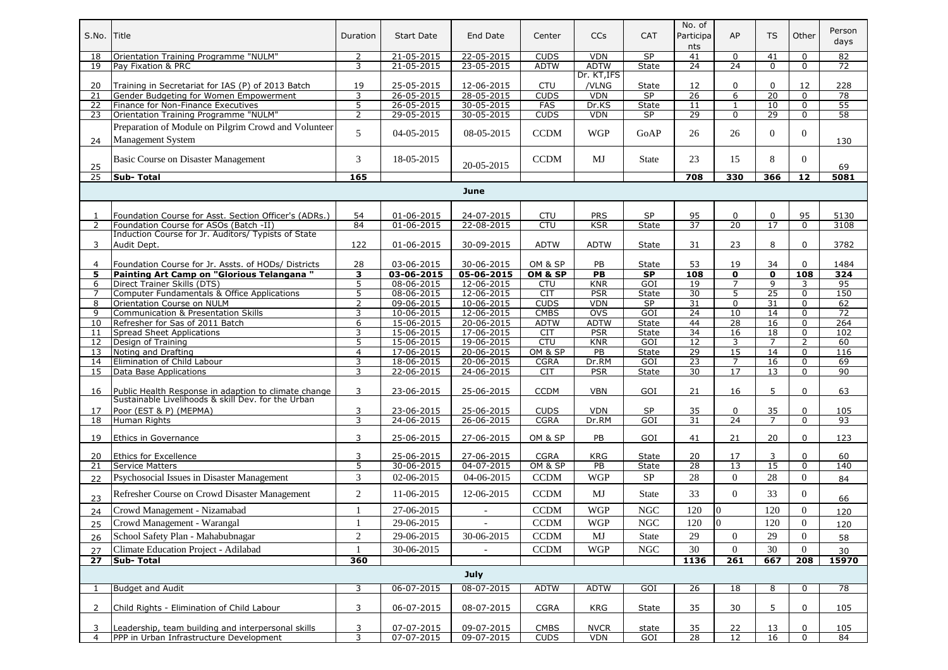| S.No.           | Title                                                                                                      | Duration       | <b>Start Date</b>        | End Date                 | Center                | <b>CCs</b>                    | <b>CAT</b>       | No. of<br>Participa | AP                           | <b>TS</b>                                 | Other            | Person          |
|-----------------|------------------------------------------------------------------------------------------------------------|----------------|--------------------------|--------------------------|-----------------------|-------------------------------|------------------|---------------------|------------------------------|-------------------------------------------|------------------|-----------------|
|                 |                                                                                                            |                |                          |                          |                       |                               |                  | nts                 |                              |                                           |                  | days            |
| 18              | Orientation Training Programme "NULM"                                                                      | 2              | 21-05-2015               | 22-05-2015               | <b>CUDS</b>           | <b>VDN</b>                    | SP               | 41                  | $\mathbf 0$                  | 41                                        | $\Omega$         | $\overline{82}$ |
| 19              | Pay Fixation & PRC                                                                                         | 3              | 21-05-2015               | 23-05-2015               | <b>ADTW</b>           | <b>ADTW</b><br>Dr. KT, IFS    | <b>State</b>     | $\overline{24}$     | 24                           | $\Omega$                                  | 0                | $\overline{72}$ |
| 20              | Training in Secretariat for IAS (P) of 2013 Batch                                                          | 19             | 25-05-2015               | 12-06-2015               | <b>CTU</b>            | /VLNG                         | <b>State</b>     | 12                  | $\mathbf 0$                  | $\mathbf 0$                               | 12               | 228             |
| 21              | Gender Budgeting for Women Empowerment                                                                     | 3              | 26-05-2015               | 28-05-2015               | <b>CUDS</b>           | <b>VDN</b>                    | <b>SP</b>        | 26                  | 6                            | 20                                        | $\Omega$         | 78              |
| 22              | Finance for Non-Finance Executives                                                                         | $\overline{5}$ | 26-05-2015               | 30-05-2015               | <b>FAS</b>            | Dr.KS                         | <b>State</b>     | 11                  | $\mathbf{1}$                 | 10                                        | $\Omega$         | 55              |
| 23              | Orientation Training Programme "NULM"                                                                      | $\overline{2}$ | 29-05-2015               | 30-05-2015               | <b>CUDS</b>           | <b>VDN</b>                    | <b>SP</b>        | 29                  | $\mathbf 0$                  | 29                                        | $\Omega$         | 58              |
|                 | Preparation of Module on Pilgrim Crowd and Volunteer                                                       |                |                          |                          |                       |                               |                  |                     |                              |                                           |                  |                 |
| 24              | Management System                                                                                          | 5              | 04-05-2015               | 08-05-2015               | <b>CCDM</b>           | <b>WGP</b>                    | GoAP             | 26                  | 26                           | $\theta$                                  | $\theta$         | 130             |
|                 |                                                                                                            |                |                          |                          |                       |                               |                  |                     |                              |                                           |                  |                 |
|                 | <b>Basic Course on Disaster Management</b>                                                                 | 3              | 18-05-2015               |                          | <b>CCDM</b>           | MJ                            | State            | 23                  | 15                           | 8                                         | $\Omega$         |                 |
| 25              |                                                                                                            |                |                          | 20-05-2015               |                       |                               |                  |                     |                              |                                           |                  | 69              |
| $\overline{25}$ | <b>Sub-Total</b>                                                                                           | 165            |                          |                          |                       |                               |                  | 708                 | 330                          | 366                                       | 12               | 5081            |
|                 |                                                                                                            |                |                          | June                     |                       |                               |                  |                     |                              |                                           |                  |                 |
| 1               | Foundation Course for Asst. Section Officer's (ADRs.)                                                      | 54             | 01-06-2015               | 24-07-2015               | <b>CTU</b>            | <b>PRS</b>                    | <b>SP</b>        | 95                  | $\mathbf 0$                  | 0                                         | 95               | 5130            |
| 2               | Foundation Course for ASOs (Batch -II)                                                                     | 84             | 01-06-2015               | 22-08-2015               | <b>CTU</b>            | <b>KSR</b>                    | <b>State</b>     | 37                  | 20                           | 17                                        | $\overline{0}$   | 3108            |
|                 | Induction Course for Jr. Auditors/ Typists of State                                                        |                |                          |                          |                       |                               |                  |                     |                              |                                           |                  |                 |
| 3               | Audit Dept.                                                                                                | 122            | 01-06-2015               | 30-09-2015               | <b>ADTW</b>           | <b>ADTW</b>                   | <b>State</b>     | 31                  | 23                           | 8                                         | 0                | 3782            |
|                 |                                                                                                            |                |                          |                          |                       |                               |                  |                     |                              |                                           |                  |                 |
| 4               | Foundation Course for Jr. Assts. of HODs/ Districts                                                        | 28             | 03-06-2015               | 30-06-2015               | OM & SP               | PB                            | <b>State</b>     | 53                  | 19                           | 34                                        | $\Omega$         | 1484            |
| 5<br>6          | Painting Art Camp on "Glorious Telangana"<br>Direct Trainer Skills (DTS)                                   | з<br>5         | 03-06-2015<br>08-06-2015 | 05-06-2015<br>12-06-2015 | OM & SP<br>CTU        | $\overline{PB}$<br><b>KNR</b> | SP<br>GOI        | 108<br>19           | $\overline{\mathbf{o}}$<br>7 | $\overline{\mathbf{0}}$<br>$\overline{9}$ | 108<br>3         | 324<br>95       |
| 7               | Computer Fundamentals & Office Applications                                                                | 5              | 08-06-2015               | 12-06-2015               | CIT                   | PSR                           | <b>State</b>     | 30                  | $\overline{5}$               | 25                                        | $\Omega$         | 150             |
| 8               | Orientation Course on NULM                                                                                 | 2              | 09-06-2015               | 10-06-2015               | <b>CUDS</b>           | <b>VDN</b>                    | <b>SP</b>        | $\overline{31}$     | 0                            | 31                                        | 0                | 62              |
| 9               | Communication & Presentation Skills                                                                        | 3              | 10-06-2015               | 12-06-2015               | <b>CMBS</b>           | $\overline{OVS}$              | $\overline{GOI}$ | 24                  | 10                           | $\overline{14}$                           | 0                | 72              |
| 10              | Refresher for Sas of 2011 Batch                                                                            | 6              | 15-06-2015               | 20-06-2015               | <b>ADTW</b>           | <b>ADTW</b>                   | <b>State</b>     | 44                  | 28                           | 16                                        | 0                | 264             |
| 11              | <b>Spread Sheet Applications</b>                                                                           | 3              | 15-06-2015               | 17-06-2015               | CIT                   | <b>PSR</b>                    | <b>State</b>     | 34                  | 16                           | $\overline{18}$                           | 0                | 102             |
| 12              | Design of Training                                                                                         | 5              | 15-06-2015               | $19-06-2015$             | <b>CTU</b>            | <b>KNR</b>                    | GOI              | $\overline{12}$     | 3                            | $\overline{7}$                            | $\overline{2}$   | 60              |
| 13              | Noting and Drafting                                                                                        | $\overline{4}$ | 17-06-2015               | 20-06-2015               | OM & SP               | $\overline{PB}$               | <b>State</b>     | 29                  | 15                           | $\overline{14}$                           | 0                | 116             |
| 14              | Elimination of Child Labour                                                                                | 3              | 18-06-2015               | 20-06-2015               | <b>CGRA</b>           | Dr.RM                         | GOI              | 23                  | $\overline{7}$               | 16                                        | 0                | 69              |
| 15              | Data Base Applications                                                                                     | 3              | 22-06-2015               | 24-06-2015               | <b>CIT</b>            | <b>PSR</b>                    | State            | 30                  | 17                           | 13                                        | 0                | 90              |
|                 |                                                                                                            | 3              | 23-06-2015               | 25-06-2015               | <b>CCDM</b>           | <b>VBN</b>                    | GOI              | 21                  | 16                           | 5                                         | 0                | 63              |
| 16              | Public Health Response in adaption to climate change<br>Sustainable Livelihoods & skill Dev. for the Urban |                |                          |                          |                       |                               |                  |                     |                              |                                           |                  |                 |
| 17              | Poor (EST & P) (MEPMA)                                                                                     | 3              | 23-06-2015               | 25-06-2015               | <b>CUDS</b>           | <b>VDN</b>                    | <b>SP</b>        | 35                  | $\mathbf 0$                  | 35                                        | 0                | 105             |
| 18              | Human Rights                                                                                               | 3              | 24-06-2015               | 26-06-2015               | <b>CGRA</b>           | Dr.RM                         | GOI              | $\overline{31}$     | 24                           | $\overline{7}$                            | $\Omega$         | 93              |
|                 |                                                                                                            |                |                          |                          |                       |                               |                  |                     |                              |                                           |                  |                 |
| 19              | Ethics in Governance                                                                                       | 3              | 25-06-2015               | 27-06-2015               | OM & SP               | <b>PB</b>                     | GOI              | 41                  | 21                           | 20                                        | 0                | 123             |
| 20              | <b>Ethics for Excellence</b>                                                                               | 3              | 25-06-2015               | 27-06-2015               | <b>CGRA</b>           | <b>KRG</b>                    | State            | 20                  | 17                           | 3                                         | 0                | 60              |
| 21              | <b>Service Matters</b>                                                                                     | 5              | 30-06-2015               | 04-07-2015               | OM & SP               | PB                            | State            | $\overline{28}$     | $\overline{13}$              | $\overline{15}$                           | 0                | 140             |
| 22              | Psychosocial Issues in Disaster Management                                                                 | 3              | 02-06-2015               | 04-06-2015               | <b>CCDM</b>           | <b>WGP</b>                    | <b>SP</b>        | 28                  | $\overline{0}$               | 28                                        | $\Omega$         | 84              |
|                 | Refresher Course on Crowd Disaster Management                                                              | $\overline{2}$ | 11-06-2015               | 12-06-2015               | <b>CCDM</b>           | MJ                            | State            | 33                  | $\Omega$                     | 33                                        | $\Omega$         |                 |
| 23<br>24        | Crowd Management - Nizamabad                                                                               | $\mathbf{1}$   | 27-06-2015               |                          | <b>CCDM</b>           | <b>WGP</b>                    | <b>NGC</b>       | 120                 | $\bf{0}$                     | 120                                       | $\mathbf{0}$     | 66<br>120       |
|                 | Crowd Management - Warangal                                                                                |                | 29-06-2015               |                          | $\operatorname{CCDM}$ | $\ensuremath{\mathsf{WGP}}$   | $\rm NGC$        | $120\,$             | $\boldsymbol{0}$             | $120\,$                                   | $\boldsymbol{0}$ |                 |
| 25              |                                                                                                            | $\mathbf{1}$   |                          |                          |                       |                               |                  |                     |                              |                                           |                  | 120             |
| 26              | School Safety Plan - Mahabubnagar                                                                          | $\overline{2}$ | 29-06-2015               | 30-06-2015               | <b>CCDM</b>           | MJ                            | <b>State</b>     | 29                  | $\mathbf{0}$                 | 29                                        | $\overline{0}$   | 58              |
| 27              | Climate Education Project - Adilabad                                                                       | 1              | 30-06-2015               | $\omega$                 | <b>CCDM</b>           | <b>WGP</b>                    | <b>NGC</b>       | 30                  | $\overline{0}$               | 30                                        | $\overline{0}$   | 30              |
| 27              | <b>Sub-Total</b>                                                                                           | 360            |                          |                          |                       |                               |                  | 1136                | 261                          | 667                                       | 208              | 15970           |
|                 |                                                                                                            |                |                          | July                     |                       |                               |                  |                     |                              |                                           |                  |                 |
| 1               | <b>Budget and Audit</b>                                                                                    | 3              | $06 - 07 - 2015$         | $08 - 07 - 2015$         | <b>ADTW</b>           | <b>ADTW</b>                   | GOI              | 26                  | $\overline{18}$              | 8                                         | 0                | $\overline{78}$ |
| 2               | Child Rights - Elimination of Child Labour                                                                 | 3              | 06-07-2015               | 08-07-2015               | <b>CGRA</b>           | <b>KRG</b>                    | State            | 35                  | 30                           | 5                                         | 0                | 105             |
| 3               | Leadership, team building and interpersonal skills                                                         | 3              | 07-07-2015               | 09-07-2015               | <b>CMBS</b>           | <b>NVCR</b>                   | state            | 35                  | 22                           | <u>13</u>                                 | 0                | 105             |
| 4               | <b>IPPP in Urban Infrastructure Development</b>                                                            | 3              | 07-07-2015               | 09-07-2015               | <b>CUDS</b>           | <b>VDN</b>                    | GOI              | $\overline{28}$     | 12                           | 16                                        | $\mathbf{0}$     | 84              |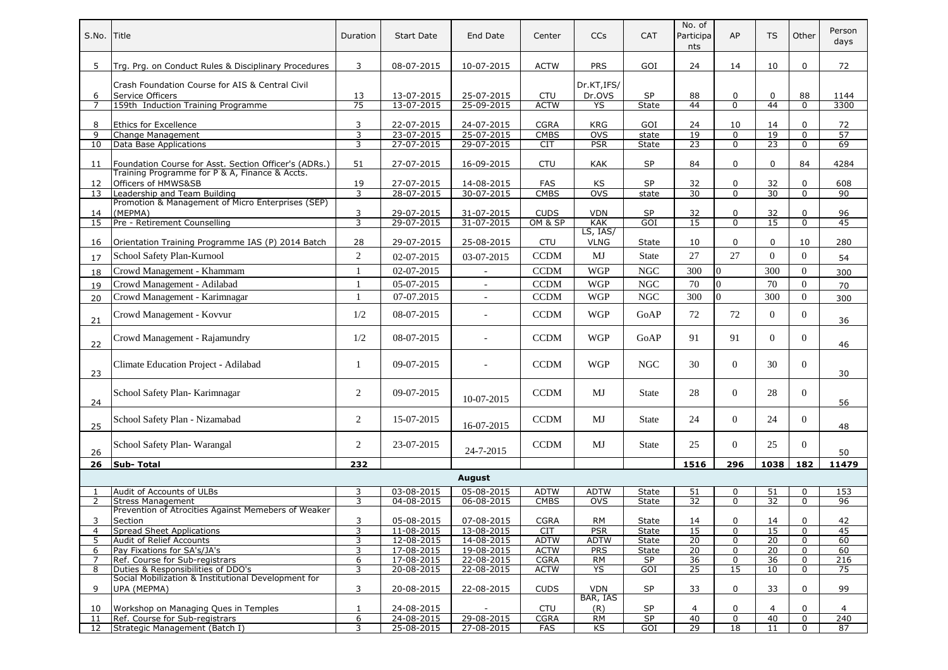| S.No.    | Title                                                                                     | Duration     | <b>Start Date</b>        | End Date                 | Center                    | <b>CCs</b>       | <b>CAT</b>         | No. of<br>Participa<br>nts | AP                         | <b>TS</b>       | Other         | Person<br>days |
|----------|-------------------------------------------------------------------------------------------|--------------|--------------------------|--------------------------|---------------------------|------------------|--------------------|----------------------------|----------------------------|-----------------|---------------|----------------|
| 5        | Trg. Prg. on Conduct Rules & Disciplinary Procedures                                      | 3            | 08-07-2015               | 10-07-2015               | <b>ACTW</b>               | <b>PRS</b>       | GOI                | 24                         | 14                         | 10              | $\mathbf 0$   | 72             |
|          | Crash Foundation Course for AIS & Central Civil                                           |              |                          |                          |                           | Dr.KT, IFS/      |                    |                            |                            |                 |               |                |
| 6        | Service Officers                                                                          | 13           | 13-07-2015               | 25-07-2015               | <b>CTU</b>                | Dr.OVS           | <b>SP</b>          | 88                         | 0                          | 0               | 88            | 1144           |
| 7        | 159th Induction Training Programme                                                        | 75           | 13-07-2015               | 25-09-2015               | <b>ACTW</b>               | YS               | State              | 44                         | $\overline{0}$             | 44              | $\Omega$      | 3300           |
|          |                                                                                           |              |                          |                          |                           |                  |                    |                            |                            |                 |               |                |
| 8        | Ethics for Excellence                                                                     | 3            | 22-07-2015               | 24-07-2015               | <b>CGRA</b>               | <b>KRG</b>       | GOI                | 24                         | 10                         | 14              | 0             | 72             |
| 9        | Change Management                                                                         | 3            | 23-07-2015               | 25-07-2015               | <b>CMBS</b>               | <b>OVS</b>       | state              | 19                         | 0                          | 19              | $\mathbf 0$   | 57             |
| 10       | Data Base Applications                                                                    | 3            | 27-07-2015               | 29-07-2015               | CIT                       | <b>PSR</b>       | State              | $\overline{23}$            | $\mathbf 0$                | $\overline{23}$ | $\mathbf 0$   | 69             |
| 11       | Foundation Course for Asst. Section Officer's (ADRs.)                                     | 51           | 27-07-2015               | 16-09-2015               | <b>CTU</b>                | <b>KAK</b>       | SP                 | 84                         | 0                          | $\mathbf 0$     | 84            | 4284           |
|          | Training Programme for P & A, Finance & Accts.                                            |              |                          |                          |                           |                  |                    |                            |                            |                 |               |                |
| 12<br>13 | Officers of HMWS&SB<br>Leadership and Team Building                                       | 19<br>3      | 27-07-2015<br>28-07-2015 | 14-08-2015<br>30-07-2015 | <b>FAS</b><br><b>CMBS</b> | KS<br><b>OVS</b> | <b>SP</b><br>state | 32<br>30                   | $\mathbf 0$<br>$\mathbf 0$ | 32<br>30        | 0<br>$\Omega$ | 608<br>90      |
|          | Promotion & Management of Micro Enterprises (SEP)                                         |              |                          |                          |                           |                  |                    |                            |                            |                 |               |                |
| 14       | (MEPMA)                                                                                   | 3            | 29-07-2015               | 31-07-2015               | <b>CUDS</b>               | <b>VDN</b>       | <b>SP</b>          | 32                         | 0                          | 32              | 0             | 96             |
| 15       | Pre - Retirement Counselling                                                              | 3            | 29-07-2015               | 31-07-2015               | OM & SP                   | <b>KAK</b>       | GOI                | 15                         | $\overline{0}$             | 15              | $\mathbf 0$   | 45             |
|          |                                                                                           |              |                          |                          |                           | LS, IAS/         |                    |                            |                            |                 |               |                |
| 16       | Orientation Training Programme IAS (P) 2014 Batch                                         | 28           | 29-07-2015               | 25-08-2015               | <b>CTU</b>                | <b>VLNG</b>      | State              | 10                         | 0                          | $\mathbf 0$     | 10            | 280            |
| 17       | School Safety Plan-Kurnool                                                                | $\sqrt{2}$   | 02-07-2015               | 03-07-2015               | <b>CCDM</b>               | MJ               | <b>State</b>       | 27                         | 27                         | $\mathbf{0}$    | $\Omega$      | 54             |
| 18       | Crowd Management - Khammam                                                                | $\mathbf{1}$ | 02-07-2015               |                          | <b>CCDM</b>               | <b>WGP</b>       | <b>NGC</b>         | 300                        | $\overline{0}$             | 300             | $\Omega$      | 300            |
| 19       | Crowd Management - Adilabad                                                               | $\mathbf{1}$ | 05-07-2015               | $\blacksquare$           | <b>CCDM</b>               | <b>WGP</b>       | NGC                | 70                         | $\overline{0}$             | 70              | $\Omega$      | 70             |
| 20       | Crowd Management - Karimnagar                                                             | $\mathbf{1}$ | 07-07.2015               | $\mathbf{r}$             | <b>CCDM</b>               | <b>WGP</b>       | <b>NGC</b>         | 300                        | $\overline{0}$             | 300             | $\mathbf{0}$  | 300            |
|          |                                                                                           |              |                          |                          |                           |                  |                    |                            |                            | $\Omega$        | $\Omega$      |                |
| 21       | Crowd Management - Kovvur                                                                 | 1/2          | 08-07-2015               |                          | <b>CCDM</b>               | <b>WGP</b>       | GoAP               | 72                         | 72                         |                 |               | 36             |
| 22       | Crowd Management - Rajamundry                                                             | 1/2          | 08-07-2015               | $\blacksquare$           | <b>CCDM</b>               | <b>WGP</b>       | GoAP               | 91                         | 91                         | $\Omega$        | $\Omega$      | 46             |
| 23       | Climate Education Project - Adilabad                                                      | 1            | 09-07-2015               | ÷.                       | <b>CCDM</b>               | <b>WGP</b>       | NGC                | 30                         | $\overline{0}$             | 30              | $\Omega$      | 30             |
| 24       | School Safety Plan-Karimnagar                                                             | 2            | 09-07-2015               | 10-07-2015               | <b>CCDM</b>               | MJ               | State              | 28                         | $\overline{0}$             | 28              | $\theta$      | 56             |
| 25       | School Safety Plan - Nizamabad                                                            | 2            | 15-07-2015               | 16-07-2015               | <b>CCDM</b>               | MJ               | <b>State</b>       | 24                         | $\overline{0}$             | 24              | $\Omega$      | 48             |
| 26       | School Safety Plan- Warangal                                                              | 2            | 23-07-2015               | 24-7-2015                | <b>CCDM</b>               | MJ               | <b>State</b>       | 25                         | $\overline{0}$             | 25              | $\Omega$      | 50             |
| 26       | <b>Sub-Total</b>                                                                          | 232          |                          |                          |                           |                  |                    | 1516                       | 296                        | 1038            | 182           | 11479          |
|          |                                                                                           |              |                          | <b>August</b>            |                           |                  |                    |                            |                            |                 |               |                |
| -1       | Audit of Accounts of ULBs                                                                 | 3            | 03-08-2015               | 05-08-2015               | <b>ADTW</b>               | <b>ADTW</b>      | State              | 51                         | 0                          | 51              | $\mathbf 0$   | 153            |
| 2        | <b>Stress Management</b>                                                                  | 3            | 04-08-2015               | 06-08-2015               | <b>CMBS</b>               | <b>OVS</b>       | State              | 32                         | $\mathbf 0$                | 32              | $\Omega$      | 96             |
|          | Prevention of Atrocities Against Memebers of Weaker                                       |              |                          |                          |                           |                  |                    |                            |                            |                 |               |                |
| 3        | Section                                                                                   | 3            | 05-08-2015               | 07-08-2015               | <b>CGRA</b>               | <b>RM</b>        | State              | 14                         | $\pmb{0}$                  | 14              | 0             | 42             |
| 4        | Spread Sheet Applications                                                                 | 3            | $11 - 08 - 2015$         | $13-08-2015$             | <b>CIT</b>                | <b>PSR</b>       | State              | 15                         | 0                          | 15              | 0             | 45             |
| 5        | Audit of Relief Accounts                                                                  | 3            | 12-08-2015               | 14-08-2015               | <b>ADTW</b>               | <b>ADTW</b>      | State              | 20                         | 0                          | $\overline{20}$ | 0             | 60             |
| 6        | Pay Fixations for SA's/JA's                                                               | 3            | 17-08-2015               | 19-08-2015               | <b>ACTW</b>               | <b>PRS</b>       | State              | 20                         | 0                          | 20              | 0             | 60             |
| 7        | Ref. Course for Sub-registrars                                                            | 6            | 17-08-2015               | 22-08-2015               | <b>CGRA</b>               | RM               | <b>SP</b>          | 36                         | 0                          | 36              | 0             | 216            |
| 8        | Duties & Responsibilities of DDO's<br>Social Mobilization & Institutional Development for | 3            | 20-08-2015               | 22-08-2015               | <b>ACTW</b>               | YS               | GOI                | $\overline{25}$            | 15                         | 10              | $\mathbf 0$   | 75             |
| 9        | UPA (MEPMA)                                                                               | 3            | 20-08-2015               | 22-08-2015               | <b>CUDS</b>               | <b>VDN</b>       | <b>SP</b>          | 33                         | 0                          | 33              | 0             | 99             |
|          |                                                                                           |              |                          |                          |                           | BAR, IAS         |                    |                            |                            |                 |               |                |
| 10       | Workshop on Managing Oues in Temples                                                      | $\mathbf{1}$ | 24-08-2015               |                          | <b>CTU</b>                | (R)              | <b>SP</b>          | 4                          | 0                          | 4               | 0             | 4              |
| 11       | Ref. Course for Sub-registrars                                                            | 6            | 24-08-2015               | 29-08-2015               | <b>CGRA</b>               | <b>RM</b>        | SP                 | 40                         | 0                          | 40              | 0             | 240            |
| 12       | Strategic Management (Batch I)                                                            | 3            | 25-08-2015               | 27-08-2015               | <b>FAS</b>                | KS               | GOI                | 29                         | 18                         | 11              | 0             | 87             |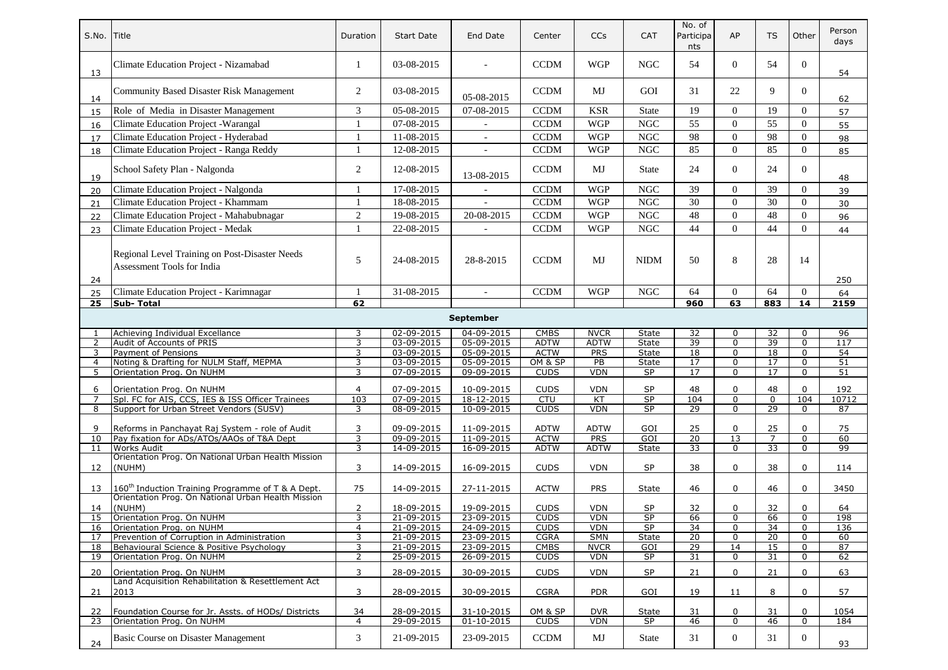| S.No.        | Title                                                                                                               | Duration       | <b>Start Date</b>        | End Date                 | Center                     | <b>CCs</b>         | <b>CAT</b>                | No. of<br>Participa<br>nts         | AP                   | <b>TS</b>       | Other           | Person<br>days        |
|--------------|---------------------------------------------------------------------------------------------------------------------|----------------|--------------------------|--------------------------|----------------------------|--------------------|---------------------------|------------------------------------|----------------------|-----------------|-----------------|-----------------------|
| 13           | Climate Education Project - Nizamabad                                                                               | 1              | 03-08-2015               | $\sim$                   | <b>CCDM</b>                | <b>WGP</b>         | <b>NGC</b>                | 54                                 | $\overline{0}$       | 54              | $\overline{0}$  | 54                    |
| 14           | Community Based Disaster Risk Management                                                                            | 2              | 03-08-2015               | 05-08-2015               | <b>CCDM</b>                | MJ                 | GOI                       | 31                                 | 22                   | 9               | $\Omega$        | 62                    |
| 15           | Role of Media in Disaster Management                                                                                | 3              | 05-08-2015               | 07-08-2015               | <b>CCDM</b>                | <b>KSR</b>         | <b>State</b>              | 19                                 | $\overline{0}$       | 19              | $\Omega$        | 57                    |
| 16           | Climate Education Project - Warangal                                                                                | -1             | 07-08-2015               | $\blacksquare$           | <b>CCDM</b>                | <b>WGP</b>         | <b>NGC</b>                | 55                                 | $\mathbf{0}$         | 55              | $\Omega$        | 55                    |
| 17           | Climate Education Project - Hyderabad                                                                               | $\mathbf{1}$   | 11-08-2015               | $\sim$                   | <b>CCDM</b>                | <b>WGP</b>         | <b>NGC</b>                | 98                                 | $\overline{0}$       | 98              | $\Omega$        | 98                    |
| 18           | Climate Education Project - Ranga Reddy                                                                             | $\mathbf{1}$   | 12-08-2015               |                          | <b>CCDM</b>                | <b>WGP</b>         | <b>NGC</b>                | 85                                 | $\mathbf{0}$         | 85              | $\Omega$        | 85                    |
| 19           | School Safety Plan - Nalgonda                                                                                       | 2              | 12-08-2015               | 13-08-2015               | <b>CCDM</b>                | <b>MJ</b>          | <b>State</b>              | 24                                 | $\overline{0}$       | 24              | $\Omega$        | 48                    |
| 20           | Climate Education Project - Nalgonda                                                                                | $\mathbf{1}$   | 17-08-2015               |                          | <b>CCDM</b>                | <b>WGP</b>         | <b>NGC</b>                | 39                                 | $\overline{0}$       | 39              | $\overline{0}$  | 39                    |
| 21           | Climate Education Project - Khammam                                                                                 | $\mathbf{1}$   | 18-08-2015               |                          | <b>CCDM</b>                | <b>WGP</b>         | <b>NGC</b>                | 30                                 | $\overline{0}$       | 30              | $\Omega$        | 30                    |
|              | Climate Education Project - Mahabubnagar                                                                            | $\overline{2}$ | 19-08-2015               | 20-08-2015               | <b>CCDM</b>                | <b>WGP</b>         | <b>NGC</b>                | 48                                 | $\overline{0}$       | 48              | $\Omega$        | 96                    |
| 22           | Climate Education Project - Medak                                                                                   | $\mathbf{1}$   | 22-08-2015               |                          | <b>CCDM</b>                | <b>WGP</b>         | <b>NGC</b>                | 44                                 | $\overline{0}$       | 44              | $\Omega$        |                       |
| 23<br>24     | Regional Level Training on Post-Disaster Needs<br>Assessment Tools for India                                        | 5              | 24-08-2015               | 28-8-2015                | <b>CCDM</b>                | MJ                 | <b>NIDM</b>               | 50                                 | 8                    | 28              | 14              | 44<br>250             |
| 25           | Climate Education Project - Karimnagar                                                                              | 1              | 31-08-2015               | $\overline{\phantom{a}}$ | <b>CCDM</b>                | <b>WGP</b>         | <b>NGC</b>                | 64                                 | $\overline{0}$       | 64              | $\overline{0}$  | 64                    |
| 25           | Sub-Total                                                                                                           | 62             |                          |                          |                            |                    |                           | 960                                | 63                   | 883             | $\overline{14}$ | 2159                  |
|              |                                                                                                                     |                |                          | <b>September</b>         |                            |                    |                           |                                    |                      |                 |                 |                       |
| $\mathbf{1}$ | Achieving Individual Excellance                                                                                     | 3              | 02-09-2015               | 04-09-2015               | <b>CMBS</b>                | <b>NVCR</b>        | <b>State</b>              | 32                                 | 0                    | 32              | $\Omega$        | 96                    |
| 2            | Audit of Accounts of PRIS                                                                                           | 3              | 03-09-2015               | 05-09-2015               | <b>ADTW</b>                | <b>ADTW</b>        | <b>State</b>              | 39                                 | $\mathbf 0$          | 39              | $\mathbf 0$     | 117                   |
| 3            | Payment of Pensions                                                                                                 | 3              | 03-09-2015               | 05-09-2015               | <b>ACTW</b>                | PRS                | State                     | 18                                 | 0                    | 18              | 0               | 54                    |
| 4            | Noting & Drafting for NULM Staff, MEPMA                                                                             | 3              | 03-09-2015               | 05-09-2015               | OM & SP                    | PB                 | <b>State</b>              | 17                                 | $\mathbf 0$          | 17              | 0               | 51                    |
| 5            | Orientation Prog. On NUHM                                                                                           | 3              | 07-09-2015               | 09-09-2015               | <b>CUDS</b>                | <b>VDN</b>         | <b>SP</b>                 | 17                                 | 0                    | 17              | $\Omega$        | 51                    |
| 6            | Orientation Prog. On NUHM                                                                                           | 4              | 07-09-2015               | 10-09-2015               | <b>CUDS</b>                | <b>VDN</b>         | <b>SP</b>                 | 48                                 | 0                    | 48              | 0               | 192                   |
| 7            | Spl. FC for AIS, CCS, IES & ISS Officer Trainees                                                                    | 103            | 07-09-2015               | 18-12-2015               | CTU                        | KT                 | SP                        | 104                                | 0                    | $\mathbf 0$     | 104             | 10712                 |
| 8            | Support for Urban Street Vendors (SUSV)                                                                             | 3              | 08-09-2015               | 10-09-2015               | <b>CUDS</b>                | <b>VDN</b>         | <b>SP</b>                 | 29                                 | 0                    | 29              | $\Omega$        | 87                    |
|              |                                                                                                                     |                |                          |                          |                            |                    |                           |                                    |                      |                 |                 |                       |
| 9            | Reforms in Panchayat Raj System - role of Audit                                                                     | 3              | 09-09-2015               | 11-09-2015               | <b>ADTW</b>                | <b>ADTW</b>        | GOI                       | 25                                 | $\mathbf 0$          | 25              | 0               | 75                    |
| 10<br>11     | Pay fixation for ADs/ATOs/AAOs of T&A Dept<br>Works Audit                                                           | 3<br>3         | 09-09-2015<br>14-09-2015 | 11-09-2015<br>16-09-2015 | <b>ACTW</b><br><b>ADTW</b> | PRS<br><b>ADTW</b> | $\overline{GOI}$<br>State | $\overline{20}$<br>$\overline{33}$ | $\overline{13}$<br>0 | $\overline{33}$ | 0<br>0          | 60<br>$\overline{99}$ |
|              | Orientation Prog. On National Urban Health Mission                                                                  |                |                          |                          |                            |                    |                           |                                    |                      |                 |                 |                       |
| 12           | (NUHM)                                                                                                              | 3              | 14-09-2015               | 16-09-2015               | <b>CUDS</b>                | <b>VDN</b>         | SP                        | 38                                 | 0                    | 38              | 0               | 114                   |
| 13           | 160 <sup>th</sup> Induction Training Programme of T & A Dept.<br>Orientation Prog. On National Urban Health Mission | 75             | 14-09-2015               | 27-11-2015               | <b>ACTW</b>                | <b>PRS</b>         | <b>State</b>              | 46                                 | 0                    | 46              | 0               | 3450                  |
| 14           | (NUHM)                                                                                                              | 2              | 18-09-2015               | 19-09-2015               | <b>CUDS</b>                | <b>VDN</b>         | SP                        | 32                                 | 0                    | 32              | 0               | 64                    |
| 15           | Orientation Prog. On NUHM                                                                                           | 3              | 21-09-2015               | 23-09-2015               | <b>CUDS</b>                | <b>VDN</b>         | SP                        | 66                                 | 0                    | 66              | 0               | 198                   |
| 16           | Orientation Prog. on NUHM                                                                                           | 4              | 21-09-2015               | 24-09-2015               | <b>CUDS</b>                | VDN                | SP.                       | 34                                 | 0                    | 34              | 0               | 136                   |
| 17           | Prevention of Corruption in Administration                                                                          | 3              | 21-09-2015               | 23-09-2015               | <b>CGRA</b>                | <b>SMN</b>         | State                     | $\overline{20}$                    | 0                    | $\overline{20}$ | 0               | 60                    |
| 18           | Behavioural Science & Positive Psychology                                                                           | 3              | 21-09-2015               | 23-09-2015               | <b>CMBS</b>                | <b>NVCR</b>        | GOI                       | 29                                 | 14                   | 15              | 0               | 87                    |
| 19           | Orientation Prog. On NUHM                                                                                           | $\overline{2}$ | 25-09-2015               | 26-09-2015               | <b>CUDS</b>                | <b>VDN</b>         | SP                        | 31                                 | 0                    | 31              | 0               | 62                    |
| 20           | Orientation Prog. On NUHM                                                                                           | 3              | 28-09-2015               | 30-09-2015               | <b>CUDS</b>                | <b>VDN</b>         | $\mathsf{SP}$             | 21                                 | 0                    | 21              | 0               | 63                    |
| 21           | Land Acquisition Rehabilitation & Resettlement Act<br>2013                                                          | 3              | 28-09-2015               | 30-09-2015               | <b>CGRA</b>                | <b>PDR</b>         | GOI                       | 19                                 | 11                   | 8               | 0               | 57                    |
| 22           | Foundation Course for Jr. Assts. of HODs/ Districts                                                                 | 34             | 28-09-2015               | 31-10-2015               | OM & SP                    | <b>DVR</b>         | State                     | 31                                 | 0                    | 31              | 0               | 1054                  |
| 23           | Orientation Prog. On NUHM                                                                                           | 4              | 29-09-2015               | $01 - 10 - 2015$         | <b>CUDS</b>                | VDN                | SP                        | 46                                 | 0                    | 46              | 0               | 184                   |
| 24           | Basic Course on Disaster Management                                                                                 | 3              | 21-09-2015               | 23-09-2015               | <b>CCDM</b>                | MJ                 | State                     | 31                                 | $\overline{0}$       | 31              | $\overline{0}$  | 93                    |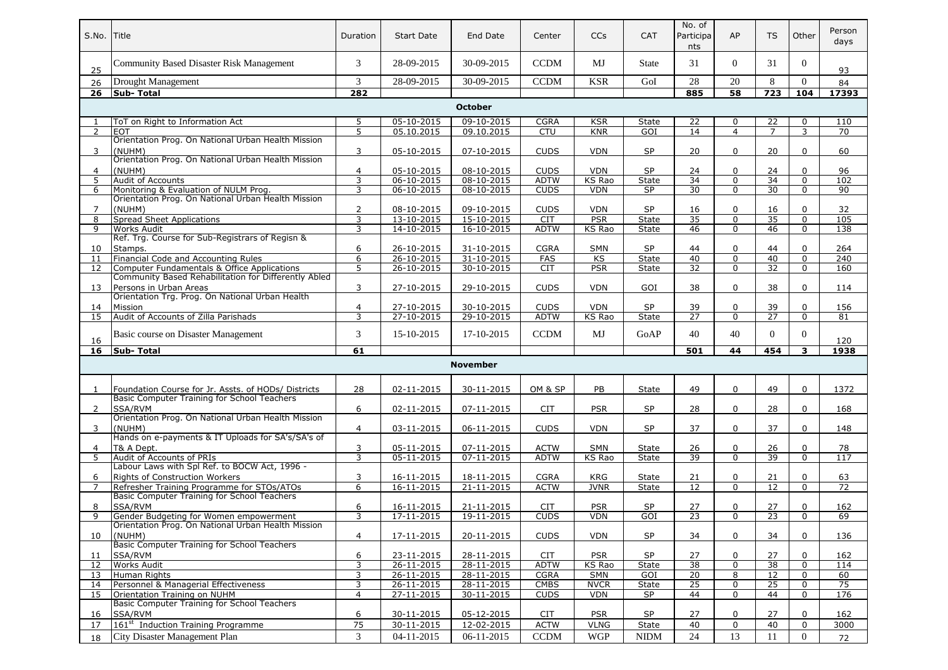| S.No.    | Title                                                                           | Duration       | <b>Start Date</b>        | End Date                       | Center                     | <b>CCs</b>                | <b>CAT</b>           | No. of<br>Participa<br>nts | AP               | TS                    | Other               | Person<br>days |
|----------|---------------------------------------------------------------------------------|----------------|--------------------------|--------------------------------|----------------------------|---------------------------|----------------------|----------------------------|------------------|-----------------------|---------------------|----------------|
| 25       | <b>Community Based Disaster Risk Management</b>                                 | 3              | 28-09-2015               | 30-09-2015                     | <b>CCDM</b>                | MJ                        | State                | 31                         | $\overline{0}$   | 31                    | $\Omega$            | 93             |
| 26       | <b>Drought Management</b>                                                       | $\overline{3}$ | 28-09-2015               | 30-09-2015                     | <b>CCDM</b>                | <b>KSR</b>                | GoI                  | 28                         | 20               | 8                     | $\Omega$            | 84             |
| 26       | <b>Sub-Total</b>                                                                | 282            |                          |                                |                            |                           |                      | 885                        | 58               | 723                   | 104                 | 17393          |
|          |                                                                                 |                |                          | <b>October</b>                 |                            |                           |                      |                            |                  |                       |                     |                |
| 1        | ToT on Right to Information Act                                                 | 5              | 05-10-2015               | 09-10-2015                     | <b>CGRA</b>                | KSR                       | State                | 22                         | $\mathbf 0$      | 22                    | $\Omega$            | 110            |
| 2        | <b>EOT</b>                                                                      | 5              | 05.10.2015               | 09.10.2015                     | <b>CTU</b>                 | <b>KNR</b>                | GOI                  | 14                         | $\overline{4}$   | $\overline{7}$        | 3                   | 70             |
|          | Orientation Prog. On National Urban Health Mission                              |                |                          |                                |                            |                           |                      |                            |                  |                       |                     |                |
| 3        | (NUHM)<br>Orientation Prog. On National Urban Health Mission                    | 3              | 05-10-2015               | 07-10-2015                     | <b>CUDS</b>                | <b>VDN</b>                | <b>SP</b>            | 20                         | 0                | 20                    | $\mathbf 0$         | 60             |
| 4        | (NUHM)                                                                          | 4              | 05-10-2015               | 08-10-2015                     | <b>CUDS</b>                | <b>VDN</b>                | SP                   | 24                         | 0                | 24                    | $\Omega$            | 96             |
| 5        | Audit of Accounts                                                               | 3              | $06 - 10 - 2015$         | 08-10-2015                     | <b>ADTW</b>                | <b>KS Rao</b>             | State                | $\overline{34}$            | $\pmb{0}$        | $\overline{34}$       | $\mathbf 0$         | 102            |
| 6        | Monitoring & Evaluation of NULM Prog.                                           | 3              | 06-10-2015               | $08 - 10 - 2015$               | <b>CUDS</b>                | <b>VDN</b>                | <b>SP</b>            | $\overline{30}$            | $\mathbf 0$      | 30                    | $\mathbf{0}$        | 90             |
|          | Orientation Prog. On National Urban Health Mission                              |                |                          |                                |                            |                           |                      |                            |                  |                       |                     |                |
| 7        | (NUHM)                                                                          | $\overline{2}$ | 08-10-2015               | 09-10-2015                     | <b>CUDS</b>                | <b>VDN</b>                | <b>SP</b>            | 16                         | 0                | 16                    | $\mathbf 0$         | 32             |
| 8        | <b>Spread Sheet Applications</b>                                                | 3              | 13-10-2015               | 15-10-2015                     | <b>CIT</b>                 | PSR                       | State                | $\overline{35}$            | 0                | 35                    | $\mathbf 0$         | 105            |
| 9        | <b>Works Audit</b><br>Ref. Trg. Course for Sub-Registrars of Regisn &           | 3              | 14-10-2015               | 16-10-2015                     | <b>ADTW</b>                | KS Rao                    | <b>State</b>         | 46                         | $\mathbf 0$      | 46                    | $\mathbf{0}$        | 138            |
| 10       | Stamps.                                                                         | 6              | 26-10-2015               | 31-10-2015                     | <b>CGRA</b>                | <b>SMN</b>                | <b>SP</b>            | 44                         | 0                | 44                    | $\mathbf 0$         | 264            |
| 11       | Financial Code and Accounting Rules                                             | 6              | 26-10-2015               | 31-10-2015                     | <b>FAS</b>                 | KS                        | <b>State</b>         | 40                         | 0                | 40                    | $\mathbf 0$         | 240            |
| 12       | Computer Fundamentals & Office Applications                                     | 5              | 26-10-2015               | 30-10-2015                     | <b>CIT</b>                 | <b>PSR</b>                | <b>State</b>         | $\overline{32}$            | $\mathbf 0$      | $\overline{32}$       | $\mathbf 0$         | 160            |
|          | Community Based Rehabilitation for Differently Abled                            |                |                          |                                |                            |                           |                      |                            |                  |                       |                     |                |
| 13       | Persons in Urban Areas                                                          | 3              | 27-10-2015               | 29-10-2015                     | <b>CUDS</b>                | <b>VDN</b>                | GOI                  | 38                         | 0                | 38                    | $\mathbf 0$         | 114            |
|          | Orientation Trg. Prog. On National Urban Health                                 |                |                          |                                |                            | <b>VDN</b>                | <b>SP</b>            |                            | 0                |                       | $\mathbf 0$         |                |
| 14<br>15 | Mission<br>Audit of Accounts of Zilla Parishads                                 | 4<br>3         | 27-10-2015<br>27-10-2015 | 30-10-2015<br>29-10-2015       | <b>CUDS</b><br><b>ADTW</b> | <b>KS Rao</b>             | <b>State</b>         | 39<br>27                   | $\mathbf 0$      | 39<br>$\overline{27}$ | $\mathbf{0}$        | 156<br>81      |
|          |                                                                                 |                |                          |                                |                            |                           |                      |                            |                  |                       |                     |                |
| 16       | Basic course on Disaster Management                                             | 3              | 15-10-2015               | 17-10-2015                     | <b>CCDM</b>                | MJ                        | GoAP                 | 40                         | 40               | $\Omega$              | $\Omega$            | 120            |
| 16       | <b>Sub-Total</b>                                                                | 61             |                          |                                |                            |                           |                      | 501                        | 44               | 454                   | 3                   | 1938           |
|          |                                                                                 |                |                          | <b>November</b>                |                            |                           |                      |                            |                  |                       |                     |                |
|          |                                                                                 |                |                          |                                |                            |                           |                      |                            |                  |                       |                     |                |
| 1        | Foundation Course for Jr. Assts. of HODs/ Districts                             | 28             | 02-11-2015               | 30-11-2015                     | OM & SP                    | PB                        | <b>State</b>         | 49                         | 0                | 49                    | $\mathbf 0$         | 1372           |
|          | Basic Computer Training for School Teachers                                     |                |                          |                                |                            |                           |                      |                            |                  |                       |                     |                |
| 2        | SSA/RVM                                                                         | 6              | 02-11-2015               | 07-11-2015                     | <b>CIT</b>                 | <b>PSR</b>                | <b>SP</b>            | 28                         | 0                | 28                    | $\mathbf 0$         | 168            |
|          | Orientation Prog. On National Urban Health Mission                              |                |                          |                                |                            |                           |                      |                            |                  |                       |                     |                |
| 3        | (NUHM)                                                                          | 4              | 03-11-2015               | 06-11-2015                     | <b>CUDS</b>                | <b>VDN</b>                | <b>SP</b>            | 37                         | 0                | 37                    | $\mathbf 0$         | 148            |
| 4        | Hands on e-payments & IT Uploads for SA's/SA's of<br>T& A Dept.                 | 3              | 05-11-2015               | 07-11-2015                     | <b>ACTW</b>                | <b>SMN</b>                | State                | 26                         | 0                | 26                    | 0                   | 78             |
| 5        | Audit of Accounts of PRIs                                                       | 3              | 05-11-2015               | 07-11-2015                     | <b>ADTW</b>                | KS Rao                    | <b>State</b>         | 39                         | $\mathbf 0$      | 39                    | $\Omega$            | 117            |
|          | Labour Laws with Spl Ref. to BOCW Act, 1996 -                                   |                |                          |                                |                            |                           |                      |                            |                  |                       |                     |                |
| 6        | <b>Rights of Construction Workers</b>                                           | 3              | 16-11-2015               | 18-11-2015                     | <b>CGRA</b>                | <b>KRG</b>                | <b>State</b>         | 21                         | 0                | 21                    | $\mathbf 0$         | 63             |
| 7        | Refresher Training Programme for STOs/ATOs                                      | 6              | 16-11-2015               | 21-11-2015                     | <b>ACTW</b>                | <b>JVNR</b>               | <b>State</b>         | 12                         | $\Omega$         | $\overline{12}$       | $\Omega$            | 72             |
|          | Basic Computer Training for School Teachers<br>SSA/RVM                          |                |                          |                                |                            |                           |                      |                            |                  |                       |                     |                |
| 8<br>9   | Gender Budgeting for Women empowerment                                          | 6<br>3         | 16-11-2015<br>17-11-2015 | 21-11-2015<br>19-11-2015       | CIT<br><b>CUDS</b>         | <b>PSR</b><br><b>VDN</b>  | <b>SP</b><br>GOI     | 27<br>23                   | 0<br>$\mathbf 0$ | 27<br>23              | 0<br>$\Omega$       | 162<br>69      |
|          | Orientation Prog. On National Urban Health Mission                              |                |                          |                                |                            |                           |                      |                            |                  |                       |                     |                |
| 10       | (NUHM)                                                                          | 4              | 17-11-2015               | 20-11-2015                     | <b>CUDS</b>                | <b>VDN</b>                | <b>SP</b>            | 34                         | 0                | 34                    | 0                   | 136            |
|          | Basic Computer Training for School Teachers                                     |                |                          |                                |                            |                           |                      |                            |                  |                       |                     |                |
| 11       | SSA/RVM                                                                         | 6              | 23-11-2015               | 28-11-2015                     | CIT                        | <b>PSR</b>                | <b>SP</b>            | 27                         | 0                | 27                    | 0                   | 162            |
| 12       | <b>Works Audit</b>                                                              | 3              | 26-11-2015               | 28-11-2015                     | <b>ADTW</b>                | KS Rao                    | <b>State</b>         | 38                         | 0                | 38                    | 0                   | 114            |
| 13<br>14 | <b>Human Rights</b><br>Personnel & Managerial Effectiveness                     | 3<br>3         | 26-11-2015<br>26-11-2015 | 28-11-2015<br>$28 - 11 - 2015$ | <b>CGRA</b><br><b>CMBS</b> | <b>SMN</b><br><b>NVCR</b> | GOI<br>State         | $\overline{20}$<br>25      | 8<br>0           | 12<br>25              | $\mathbf 0$<br>0    | 60<br>75       |
| 15       | Orientation Training on NUHM                                                    | 4              | 27-11-2015               | 30-11-2015                     | <b>CUDS</b>                | <b>VDN</b>                | <b>SP</b>            | 44                         | 0                | 44                    | 0                   | 176            |
|          |                                                                                 |                |                          |                                |                            |                           |                      |                            |                  |                       |                     |                |
|          | Basic Computer Training for School Teachers                                     |                |                          |                                |                            |                           |                      |                            |                  |                       |                     |                |
| 16       | SSA/RVM                                                                         | 6              | 30-11-2015               | 05-12-2015                     | <b>CIT</b>                 | <b>PSR</b>                | $\mathsf{SP}$        | 27                         | 0                | 27                    | 0                   | 162            |
| 17       | 161 <sup>st</sup> Induction Training Programme<br>City Disaster Management Plan | 75<br>3        | 30-11-2015<br>04-11-2015 | 12-02-2015<br>06-11-2015       | <b>ACTW</b><br><b>CCDM</b> | <b>VLNG</b><br><b>WGP</b> | State<br><b>NIDM</b> | 40<br>24                   | 0<br>13          | 40<br>11              | 0<br>$\overline{0}$ | 3000<br>72     |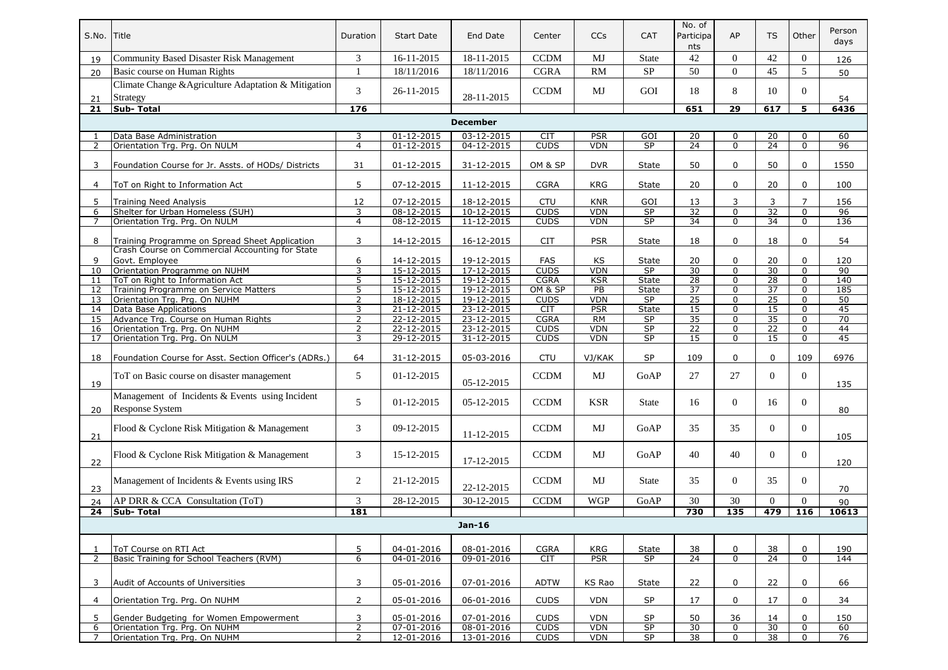| S.No.          | Title                                                                     | Duration       | <b>Start Date</b>              | End Date                 | Center                    | <b>CCs</b>               | <b>CAT</b>         | No. of<br>Participa<br>nts | AP               | <b>TS</b>             | Other            | Person<br>days  |
|----------------|---------------------------------------------------------------------------|----------------|--------------------------------|--------------------------|---------------------------|--------------------------|--------------------|----------------------------|------------------|-----------------------|------------------|-----------------|
| 19             | Community Based Disaster Risk Management                                  | 3              | 16-11-2015                     | 18-11-2015               | <b>CCDM</b>               | MJ                       | <b>State</b>       | 42                         | $\overline{0}$   | 42                    | $\overline{0}$   | 126             |
| 20             | Basic course on Human Rights                                              |                | 18/11/2016                     | 18/11/2016               | <b>CGRA</b>               | RM                       | $\rm SP$           | 50                         | $\Omega$         | 45                    | 5                | 50              |
| 21             | Climate Change & Agriculture Adaptation & Mitigation<br>Strategy          | 3              | 26-11-2015                     | 28-11-2015               | <b>CCDM</b>               | MJ                       | GOI                | 18                         | 8                | 10                    | $\theta$         | 54              |
| 21             | <b>Sub-Total</b>                                                          | 176            |                                |                          |                           |                          |                    | 651                        | 29               | 617                   | 5                | 6436            |
|                |                                                                           |                |                                | <b>December</b>          |                           |                          |                    |                            |                  |                       |                  |                 |
| -1             | Data Base Administration                                                  | 3              | $01 - 12 - 2015$               | 03-12-2015               | <b>CIT</b>                | <b>PSR</b>               | GOI                | 20                         | 0                | 20                    | 0                | 60              |
| 2              | Orientation Trg. Prg. On NULM                                             | $\overline{4}$ | $01 - 12 - 2015$               | $04 - 12 - 2015$         | <b>CUDS</b>               | <b>VDN</b>               | <b>SP</b>          | $\overline{24}$            | $\overline{0}$   | 24                    | $\Omega$         | 96              |
| 3              | Foundation Course for Jr. Assts. of HODs/ Districts                       | 31             | 01-12-2015                     | 31-12-2015               | OM & SP                   | <b>DVR</b>               | <b>State</b>       | 50                         | 0                | 50                    | 0                | 1550            |
| 4              | ToT on Right to Information Act                                           | 5              | 07-12-2015                     | 11-12-2015               | <b>CGRA</b>               | <b>KRG</b>               | <b>State</b>       | 20                         | 0                | 20                    | 0                | 100             |
| 5              | Training Need Analysis                                                    | 12             | 07-12-2015                     | 18-12-2015               | <b>CTU</b>                | <b>KNR</b>               | GOI                | 13                         | 3                | 3                     | 7                | 156             |
| 6              | Shelter for Urban Homeless (SUH)                                          | 3              | 08-12-2015                     | 10-12-2015               | <b>CUDS</b>               | <b>VDN</b>               | SP                 | 32                         | $\overline{0}$   | 32                    | 0                | 96              |
| 7              | Orientation Trg. Prg. On NULM                                             | 4              | 08-12-2015                     | 11-12-2015               | <b>CUDS</b>               | <b>VDN</b>               | <b>SP</b>          | 34                         | $\overline{0}$   | 34                    | $\overline{0}$   | 136             |
| 8              | Training Programme on Spread Sheet Application                            | 3              | 14-12-2015                     | 16-12-2015               | <b>CIT</b>                | <b>PSR</b>               | <b>State</b>       | 18                         | $\mathbf 0$      | 18                    | 0                | 54              |
|                | Crash Course on Commercial Accounting for State                           |                |                                |                          |                           |                          |                    |                            |                  |                       |                  |                 |
| 9              | Govt. Employee                                                            | 6              | 14-12-2015                     | 19-12-2015               | <b>FAS</b>                | KS                       | <b>State</b>       | 20                         | 0                | 20                    | 0                | 120             |
| 10             | Orientation Programme on NUHM                                             | 3              | 15-12-2015                     | 17-12-2015               | <b>CUDS</b>               | <b>VDN</b>               | SP                 | 30                         | $\overline{0}$   | 30                    | 0                | 90              |
| 11             | ToT on Right to Information Act                                           | 5              | 15-12-2015                     | 19-12-2015               | <b>CGRA</b>               | <b>KSR</b>               | <b>State</b>       | 28                         | $\overline{0}$   | $\overline{28}$       | $\Omega$         | 140             |
| 12<br>13       | Training Programme on Service Matters<br>Orientation Trg. Prg. On NUHM    | 5<br>2         | 15-12-2015<br>18-12-2015       | 19-12-2015<br>19-12-2015 | OM & SP<br><b>CUDS</b>    | PB<br><b>VDN</b>         | <b>State</b><br>SP | $\overline{37}$<br>25      | $\mathbf 0$<br>0 | $\overline{37}$<br>25 | 0<br>0           | 185<br>50       |
| 14             | Data Base Applications                                                    | 3              | 21-12-2015                     | 23-12-2015               | CIT                       | <b>PSR</b>               | <b>State</b>       | $\overline{15}$            | 0                | $\overline{15}$       | 0                | 45              |
| 15             | Advance Trg. Course on Human Rights                                       | 2              | 22-12-2015                     | 23-12-2015               | <b>CGRA</b>               | $R$ M                    | SP                 | 35                         | 0                | $\overline{35}$       | 0                | 70              |
| 16             | Orientation Trg. Prg. On NUHM                                             | $\overline{2}$ | 22-12-2015                     | 23-12-2015               | <b>CUDS</b>               | <b>VDN</b>               | SP                 | $\overline{22}$            | $\mathbf 0$      | $\overline{22}$       | 0                | 44              |
| 17             | Orientation Trg. Prg. On NULM                                             | 3              | 29-12-2015                     | 31-12-2015               | <b>CUDS</b>               | <b>VDN</b>               | SP                 | $\overline{15}$            | $\mathbf 0$      | $\overline{15}$       | 0                | 45              |
|                |                                                                           |                |                                |                          |                           |                          |                    |                            |                  |                       |                  |                 |
| 18             | Foundation Course for Asst. Section Officer's (ADRs.)                     | 64             | 31-12-2015                     | 05-03-2016               | <b>CTU</b>                | VJ/KAK                   | <b>SP</b>          | 109                        | 0                | 0                     | 109              | 6976            |
| 19             | ToT on Basic course on disaster management                                | 5              | 01-12-2015                     | 05-12-2015               | <b>CCDM</b>               | MJ                       | GoAP               | 27                         | 27               | $\theta$              | $\Omega$         | 135             |
| 20             | Management of Incidents & Events using Incident<br><b>Response System</b> | 5              | 01-12-2015                     | 05-12-2015               | <b>CCDM</b>               | <b>KSR</b>               | State              | 16                         | $\overline{0}$   | 16                    | $\Omega$         | 80              |
| 21             | Flood & Cyclone Risk Mitigation & Management                              | 3              | 09-12-2015                     | 11-12-2015               | <b>CCDM</b>               | MJ                       | GoAP               | 35                         | 35               | $\theta$              | $\theta$         | 105             |
| 22             | Flood & Cyclone Risk Mitigation & Management                              | 3              | 15-12-2015                     | 17-12-2015               | <b>CCDM</b>               | MJ                       | GoAP               | 40                         | 40               | $\Omega$              | $\Omega$         | 120             |
| 23             | Management of Incidents & Events using IRS                                | $\overline{c}$ | 21-12-2015                     | 22-12-2015               | <b>CCDM</b>               | MJ                       | State              | 35                         | $\overline{0}$   | 35                    | $\theta$         | 70              |
| 24             | AP DRR & CCA Consultation (ToT)                                           | $\overline{3}$ | 28-12-2015                     | 30-12-2015               | <b>CCDM</b>               | <b>WGP</b>               | GoAP               | 30                         | 30               | $\theta$              | $\theta$         | 90              |
| 24             | <b>Sub-Total</b>                                                          | <b>181</b>     |                                |                          |                           |                          |                    | 730                        | 135              | 479                   | 116              | 10613           |
|                |                                                                           |                |                                | Jan-16                   |                           |                          |                    |                            |                  |                       |                  |                 |
|                |                                                                           |                |                                |                          |                           |                          |                    |                            |                  |                       |                  |                 |
| -1<br>2        | ToT Course on RTI Act<br>Basic Training for School Teachers (RVM)         | 5<br>6         | 04-01-2016<br>$04 - 01 - 2016$ | 08-01-2016<br>09-01-2016 | <b>CGRA</b><br><b>CIT</b> | <b>KRG</b><br><b>PSR</b> | State<br>SP        | 38<br>$\overline{24}$      | 0<br>$\mathbf 0$ | 38<br>24              | 0<br>$\mathbf 0$ | 190<br>144      |
|                |                                                                           |                |                                |                          |                           |                          |                    |                            |                  |                       |                  |                 |
| 3              | Audit of Accounts of Universities                                         | 3              | 05-01-2016                     | 07-01-2016               | <b>ADTW</b>               | KS Rao                   | <b>State</b>       | 22                         | 0                | 22                    | 0                | 66              |
| $\overline{4}$ | Orientation Trg. Prg. On NUHM                                             | 2              | 05-01-2016                     | 06-01-2016               | <b>CUDS</b>               | <b>VDN</b>               | SP                 | 17                         | 0                | 17                    | 0                | 34              |
| 5              | Gender Budgeting for Women Empowerment                                    | 3              | 05-01-2016                     | 07-01-2016               | <b>CUDS</b>               | <b>VDN</b>               | SP                 | 50                         | 36               | 14                    | 0                | 150             |
| 6              | Orientation Trg. Prg. On NUHM                                             | 2              | 07-01-2016                     | 08-01-2016               | <b>CUDS</b>               | <b>VDN</b>               | SP                 | 30                         | 0                | 30                    | 0                | 60              |
| 7              | Orientation Trg. Prg. On NUHM                                             | 2              | 12-01-2016                     | 13-01-2016               | <b>CUDS</b>               | <b>VDN</b>               | SP                 | $\overline{38}$            | $\mathbf 0$      | $\overline{38}$       | 0                | $\overline{76}$ |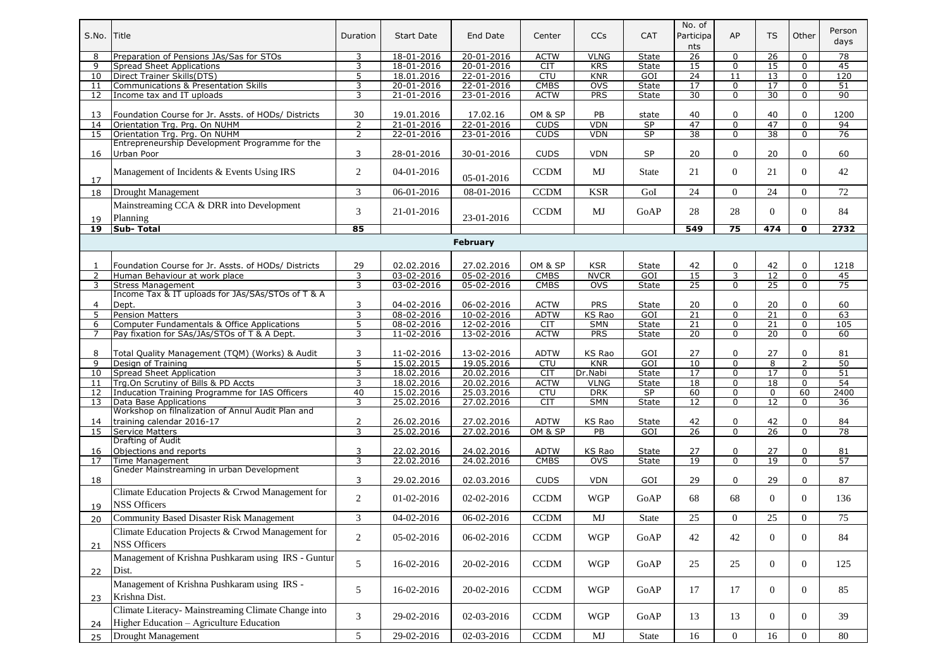| S.No.    | Title                                               | Duration       | <b>Start Date</b>        | End Date                 | Center                     | <b>CCs</b>           | <b>CAT</b>            | No. of<br>Participa<br>nts | AP               | <b>TS</b>        | Other            | Person<br>days  |
|----------|-----------------------------------------------------|----------------|--------------------------|--------------------------|----------------------------|----------------------|-----------------------|----------------------------|------------------|------------------|------------------|-----------------|
| 8        | Preparation of Pensions JAs/Sas for STOs            | 3              | 18-01-2016               | 20-01-2016               | <b>ACTW</b>                | <b>VLNG</b>          | <b>State</b>          | $\overline{26}$            | $\mathbf 0$      | $\overline{26}$  | $\Omega$         | $\overline{78}$ |
| 9        | <b>Spread Sheet Applications</b>                    | 3              | 18-01-2016               | 20-01-2016               | <b>CIT</b>                 | KRS                  | <b>State</b>          | 15                         | $\mathbf 0$      | $\overline{15}$  | 0                | 45              |
| 10       | Direct Trainer Skills(DTS)                          | 5              | 18.01.2016               | 22-01-2016               | CTU                        | <b>KNR</b>           | GOI                   | $\overline{24}$            | $\overline{11}$  | $\overline{13}$  | 0                | 120             |
| 11       | <b>Communications &amp; Presentation Skills</b>     | 3              | 20-01-2016               | 22-01-2016               | <b>CMBS</b>                | $\overline{OVS}$     | State                 | $\overline{17}$            | $\mathbf 0$      | $\overline{17}$  | 0                | $\overline{51}$ |
| 12       | Income tax and IT uploads                           | 3              | 21-01-2016               | 23-01-2016               | <b>ACTW</b>                | PRS                  | <b>State</b>          | 30                         | $\overline{0}$   | 30               | 0                | $\overline{90}$ |
|          |                                                     |                |                          |                          |                            |                      |                       |                            |                  |                  |                  |                 |
| 13       | Foundation Course for Jr. Assts. of HODs/ Districts | 30             | 19.01.2016               | 17.02.16                 | OM & SP                    | PB                   | state                 | 40                         | $\mathbf 0$      | 40               | 0                | 1200            |
| 14       | Orientation Trg. Prg. On NUHM                       | $\overline{2}$ | 21-01-2016               | 22-01-2016               | <b>CUDS</b>                | <b>VDN</b>           | SP                    | 47                         | $\overline{0}$   | 47               | 0                | 94              |
| 15       | Orientation Trg. Prg. On NUHM                       | 2              | 22-01-2016               | 23-01-2016               | <b>CUDS</b>                | <b>VDN</b>           | <b>SP</b>             | 38                         | $\mathbf 0$      | 38               | 0                | 76              |
|          | Entrepreneurship Development Programme for the      |                |                          |                          |                            |                      |                       |                            |                  |                  |                  |                 |
| 16       | Urban Poor                                          | 3              | 28-01-2016               | 30-01-2016               | <b>CUDS</b>                | <b>VDN</b>           | <b>SP</b>             | 20                         | $\mathbf 0$      | 20               | 0                | 60              |
|          |                                                     |                |                          |                          |                            |                      |                       |                            |                  |                  |                  |                 |
| 17       | Management of Incidents & Events Using IRS          | $\overline{2}$ | 04-01-2016               | 05-01-2016               | <b>CCDM</b>                | MJ                   | State                 | 21                         | $\overline{0}$   | 21               | $\Omega$         | 42              |
|          |                                                     |                |                          |                          |                            |                      |                       |                            |                  |                  |                  |                 |
| 18       | <b>Drought Management</b>                           | 3              | 06-01-2016               | 08-01-2016               | <b>CCDM</b>                | <b>KSR</b>           | GoI                   | 24                         | $\overline{0}$   | 24               | $\Omega$         | 72              |
|          | Mainstreaming CCA & DRR into Development            |                |                          |                          |                            |                      |                       |                            |                  |                  |                  |                 |
| 19       | Planning                                            | 3              | 21-01-2016               | 23-01-2016               | <b>CCDM</b>                | MJ                   | GoAP                  | 28                         | 28               | $\Omega$         | $\Omega$         | 84              |
| 19       | Sub-Total                                           | 85             |                          |                          |                            |                      |                       | 549                        | 75               | 474              | $\mathbf 0$      | 2732            |
|          |                                                     |                |                          |                          |                            |                      |                       |                            |                  |                  |                  |                 |
|          |                                                     |                |                          | <b>February</b>          |                            |                      |                       |                            |                  |                  |                  |                 |
|          |                                                     |                |                          |                          |                            |                      |                       |                            |                  |                  |                  |                 |
| 1        | Foundation Course for Jr. Assts. of HODs/ Districts | 29             | 02.02.2016               | 27.02.2016               | OM & SP                    | <b>KSR</b>           | State                 | 42                         | $\pmb{0}$        | 42               | 0                | 1218            |
| 2        | Human Behaviour at work place                       | 3              | 03-02-2016               | 05-02-2016               | <b>CMBS</b>                | <b>NVCR</b>          | GOI                   | 15                         | 3                | 12               | 0                | 45              |
| 3        | <b>Stress Management</b>                            | 3              | 03-02-2016               | 05-02-2016               | CMBS                       | <b>OVS</b>           | <b>State</b>          | $\overline{25}$            | $\mathbf 0$      | $\overline{25}$  | 0                | 75              |
|          | Income Tax & IT uploads for JAs/SAs/STOs of T & A   |                |                          |                          |                            |                      |                       |                            |                  |                  |                  |                 |
| 4        | Dept.                                               | 3              | 04-02-2016               | 06-02-2016               | <b>ACTW</b>                | <b>PRS</b>           | State                 | 20                         | $\mathbf 0$      | 20               | $\Omega$         | 60              |
| 5        | <b>Pension Matters</b>                              | 3              | 08-02-2016               | 10-02-2016               | <b>ADTW</b>                | KS Rao               | GOI                   | 21                         | $\mathbf 0$      | 21               | 0                | 63              |
| 6        | Computer Fundamentals & Office Applications         | 5              | 08-02-2016               | 12-02-2016               | <b>CIT</b>                 | <b>SMN</b>           | State                 | $\overline{21}$            | $\pmb{0}$        | $\overline{21}$  | 0                | 105             |
| 7        | Pay fixation for SAs/JAs/STOs of T & A Dept.        | 3              | 11-02-2016               | 13-02-2016               | <b>ACTW</b>                | PRS                  | State                 | $\overline{20}$            | 0                | $\overline{20}$  | $\Omega$         | 60              |
|          |                                                     |                |                          |                          |                            |                      |                       |                            |                  |                  |                  |                 |
| 8        | Total Quality Management (TQM) (Works) & Audit      | 3              | 11-02-2016               | 13-02-2016               | <b>ADTW</b>                | KS Rao               | GOI                   | 27                         | 0                | 27               | 0                | 81              |
| 9        | Design of Training                                  | 5              | 15.02.2015               | 19.05.2016               | <b>CTU</b>                 | KNR                  | $\overline{GOI}$      | 10                         | $\mathbf 0$      | 8                | $\overline{2}$   | 50              |
| 10       | Spread Sheet Application                            | 3              | 18.02.2016               | 20.02.2016               | CIT                        | Dr.Nabi              | <b>State</b>          | 17                         | $\mathbf 0$      | 17               | $\Omega$         | 51              |
| 11       | Trg.On Scrutiny of Bills & PD Accts                 | 3              | 18.02.2016               | 20.02.2016               | <b>ACTW</b>                | <b>VLNG</b>          | State                 | 18                         | $\mathbf 0$      | 18               | $\mathbf 0$      | 54              |
| 12       | Inducation Training Programme for IAS Officers      | 40             | 15.02.2016               | 25.03.2016               | <b>CTU</b>                 | <b>DRK</b>           | SP                    | 60                         | $\mathbf 0$      | 0                | 60               | 2400            |
| 13       | Data Base Applications                              | 3              | 25.02.2016               | 27.02.2016               | CIT                        | <b>SMN</b>           | State                 | $\overline{12}$            | $\mathbf 0$      | 12               | $\Omega$         | 36              |
|          | Workshop on filnalization of Annul Audit Plan and   |                |                          |                          |                            |                      |                       |                            |                  |                  |                  |                 |
| 14       | training calendar 2016-17                           | 2              | 26.02.2016               | 27.02.2016               | <b>ADTW</b>                | KS Rao               | State                 | 42                         | 0                | 42               | 0                | 84<br>78        |
| 15       | <b>Service Matters</b><br>Drafting of Audit         | 3              | 25.02.2016               | 27.02.2016               | OM & SP                    | PB                   | GOI                   | 26                         | $\overline{0}$   | 26               | $\overline{0}$   |                 |
|          |                                                     | 3              |                          |                          |                            |                      |                       |                            | $\mathbf 0$      |                  | 0                |                 |
| 16<br>17 | Objections and reports<br>Time Management           | 3              | 22.02.2016<br>22.02.2016 | 24.02.2016<br>24.02.2016 | <b>ADTW</b><br><b>CMBS</b> | KS Rao<br><b>OVS</b> | State<br><b>State</b> | 27<br>19                   | $\mathbf 0$      | 27<br>19         | $\Omega$         | 81<br>57        |
|          | Gneder Mainstreaming in urban Development           |                |                          |                          |                            |                      |                       |                            |                  |                  |                  |                 |
| 18       |                                                     | 3              | 29.02.2016               | 02.03.2016               | <b>CUDS</b>                | <b>VDN</b>           | GOI                   | 29                         | 0                | 29               | 0                | 87              |
|          |                                                     |                |                          |                          |                            |                      |                       |                            |                  |                  |                  |                 |
|          | Climate Education Projects & Crwod Management for   | $\overline{2}$ | $01-02-2016$             | 02-02-2016               | <b>CCDM</b>                | <b>WGP</b>           | GoAP                  | 68                         | 68               | $\theta$         | $\Omega$         | 136             |
| 19       | <b>NSS Officers</b>                                 |                |                          |                          |                            |                      |                       |                            |                  |                  |                  |                 |
| 20       | Community Based Disaster Risk Management            | 3              | 04-02-2016               | 06-02-2016               | <b>CCDM</b>                | MJ                   | <b>State</b>          | 25                         | $\overline{0}$   | 25               | $\Omega$         | 75              |
|          |                                                     |                |                          |                          |                            |                      |                       |                            |                  |                  |                  |                 |
|          | Climate Education Projects & Crwod Management for   | $\overline{c}$ | 05-02-2016               | 06-02-2016               | $\operatorname{CCDM}$      | <b>WGP</b>           | GoAP                  | 42                         | 42               | $\boldsymbol{0}$ | $\overline{0}$   | 84              |
| 21       | <b>NSS Officers</b>                                 |                |                          |                          |                            |                      |                       |                            |                  |                  |                  |                 |
|          | Management of Krishna Pushkaram using IRS - Guntur  |                |                          |                          |                            |                      |                       |                            |                  |                  |                  |                 |
|          | Dist.                                               | 5              | 16-02-2016               | 20-02-2016               | $\operatorname{CCDM}$      | <b>WGP</b>           | GoAP                  | 25                         | 25               | $\overline{0}$   | $\overline{0}$   | 125             |
| 22       |                                                     |                |                          |                          |                            |                      |                       |                            |                  |                  |                  |                 |
|          | Management of Krishna Pushkaram using IRS -         | 5              | 16-02-2016               | 20-02-2016               | <b>CCDM</b>                | <b>WGP</b>           | GoAP                  | 17                         | 17               | $\overline{0}$   | $\overline{0}$   | 85              |
| 23       | Krishna Dist.                                       |                |                          |                          |                            |                      |                       |                            |                  |                  |                  |                 |
|          | Climate Literacy- Mainstreaming Climate Change into |                |                          |                          |                            |                      |                       |                            |                  |                  |                  |                 |
|          |                                                     | 3              | 29-02-2016               | 02-03-2016               | $\operatorname{CCDM}$      | <b>WGP</b>           | GoAP                  | 13                         | 13               | $\overline{0}$   | $\mathbf{0}$     | 39              |
| 24       | Higher Education - Agriculture Education            |                |                          |                          |                            |                      |                       |                            |                  |                  |                  |                 |
| 25       | Drought Management                                  | 5              | 29-02-2016               | 02-03-2016               | $\operatorname{CCDM}$      | MJ                   | State                 | 16                         | $\boldsymbol{0}$ | 16               | $\boldsymbol{0}$ | 80              |